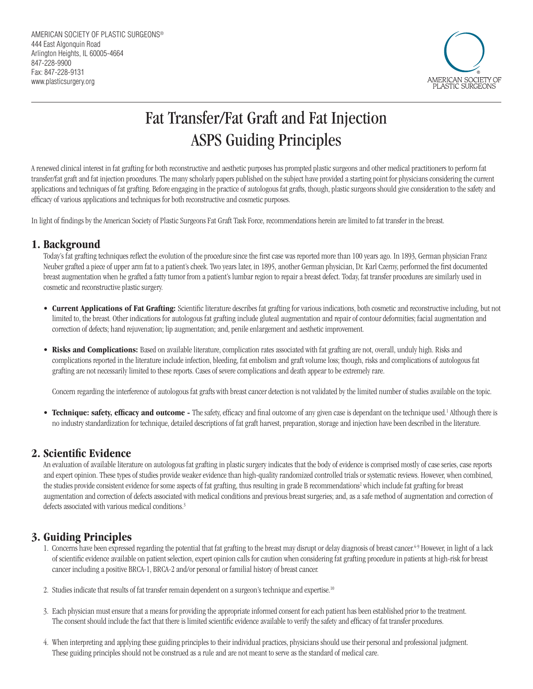

# Fat Transfer/Fat Graft and Fat Injection ASPS Guiding Principles

A renewed clinical interest in fat grafting for both reconstructive and aesthetic purposes has prompted plastic surgeons and other medical practitioners to perform fat transfer/fat graft and fat injection procedures. The many scholarly papers published on the subject have provided a starting point for physicians considering the current applications and techniques of fat grafting. Before engaging in the practice of autologous fat grafts, though, plastic surgeons should give consideration to the safety and efficacy of various applications and techniques for both reconstructive and cosmetic purposes.

In light of findings by the American Society of Plastic Surgeons Fat Graft Task Force, recommendations herein are limited to fat transfer in the breast.

### **1. Background**

Today's fat grafting techniques reflect the evolution of the procedure since the first case was reported more than 100 years ago. In 1893, German physician Franz Neuber grafted a piece of upper arm fat to a patient's cheek. Two years later, in 1895, another German physician, Dr. Karl Czerny, performed the first documented breast augmentation when he grafted a fatty tumor from a patient's lumbar region to repair a breast defect. Today, fat transfer procedures are similarly used in cosmetic and reconstructive plastic surgery.

- **Current Applications of Fat Grafting:** Scientific literature describes fat grafting for various indications, both cosmetic and reconstructive including, but not limited to, the breast. Other indications for autologous fat grafting include gluteal augmentation and repair of contour deformities; facial augmentation and correction of defects; hand rejuvenation; lip augmentation; and, penile enlargement and aesthetic improvement.
- **Risks and Complications:** Based on available literature, complication rates associated with fat grafting are not, overall, unduly high. Risks and complications reported in the literature include infection, bleeding, fat embolism and graft volume loss; though, risks and complications of autologous fat grafting are not necessarily limited to these reports. Cases of severe complications and death appear to be extremely rare.

Concern regarding the interference of autologous fat grafts with breast cancer detection is not validated by the limited number of studies available on the topic.

• **Technique: safety, efficacy and outcome** - The safety, efficacy and final outcome of any given case is dependant on the technique used.<sup>1</sup> Although there is no industry standardization for technique, detailed descriptions of fat graft harvest, preparation, storage and injection have been described in the literature.

#### **2. Scientific Evidence**

An evaluation of available literature on autologous fat grafting in plastic surgery indicates that the body of evidence is comprised mostly of case series, case reports and expert opinion. These types of studies provide weaker evidence than high-quality randomized controlled trials or systematic reviews. However, when combined, the studies provide consistent evidence for some aspects of fat grafting, thus resulting in grade B recommendations<sup>2</sup> which include fat grafting for breast augmentation and correction of defects associated with medical conditions and previous breast surgeries; and, as a safe method of augmentation and correction of defects associated with various medical conditions.<sup>3</sup>

## **3. Guiding Principles**

- 1. Concerns have been expressed regarding the potential that fat grafting to the breast may disrupt or delay diagnosis of breast cancer.<sup>4.9</sup> However, in light of a lack of scientific evidence available on patient selection, expert opinion calls for caution when considering fat grafting procedure in patients at high-risk for breast cancer including a positive BRCA-1, BRCA-2 and/or personal or familial history of breast cancer.
- 2. Studies indicate that results of fat transfer remain dependent on a surgeon's technique and expertise.<sup>10</sup>
- 3. Each physician must ensure that a means for providing the appropriate informed consent for each patient has been established prior to the treatment. The consent should include the fact that there is limited scientific evidence available to verify the safety and efficacy of fat transfer procedures.
- 4. When interpreting and applying these guiding principles to their individual practices, physicians should use their personal and professional judgment. These guiding principles should not be construed as a rule and are not meant to serve as the standard of medical care.